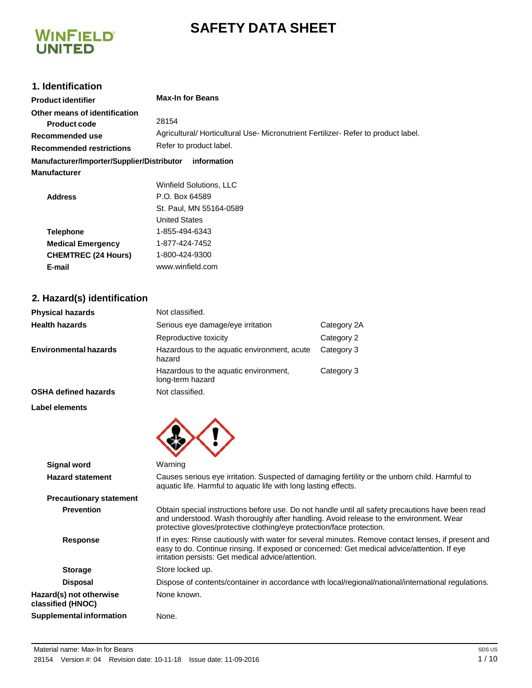# **SAFETY DATA SHEET**



# **1. Identification**

| <b>Product identifier</b>                                                                           | <b>Max-In for Beans</b>                                                                                                |
|-----------------------------------------------------------------------------------------------------|------------------------------------------------------------------------------------------------------------------------|
| Other means of identification<br>Product code<br>Recommended use<br><b>Recommended restrictions</b> | 28154<br>Agricultural/ Horticultural Use- Micronutrient Fertilizer- Refer to product label.<br>Refer to product label. |
| Manufacturer/Importer/Supplier/Distributor                                                          | information                                                                                                            |
| Manufacturer                                                                                        |                                                                                                                        |
|                                                                                                     | Winfield Solutions, LLC                                                                                                |
| <b>Address</b>                                                                                      | P.O. Box 64589                                                                                                         |
|                                                                                                     | St. Paul, MN 55164-0589                                                                                                |
|                                                                                                     | <b>United States</b>                                                                                                   |
| <b>Telephone</b>                                                                                    | 1-855-494-6343                                                                                                         |
| <b>Medical Emergency</b>                                                                            | 1-877-424-7452                                                                                                         |
| <b>CHEMTREC (24 Hours)</b>                                                                          | 1-800-424-9300                                                                                                         |

# **2. Hazard(s) identification**

| <b>Physical hazards</b>      | Not classified.                                           |             |
|------------------------------|-----------------------------------------------------------|-------------|
| <b>Health hazards</b>        | Serious eye damage/eye irritation                         | Category 2A |
|                              | Reproductive toxicity                                     | Category 2  |
| <b>Environmental hazards</b> | Hazardous to the aquatic environment, acute<br>hazard     | Category 3  |
|                              | Hazardous to the aquatic environment,<br>long-term hazard | Category 3  |
| <b>OSHA defined hazards</b>  | Not classified.                                           |             |



**E-mail** [www.winfield.com](http://www.winfield.com/)

| <b>Signal word</b>                           | Warning                                                                                                                                                                                                                                                              |
|----------------------------------------------|----------------------------------------------------------------------------------------------------------------------------------------------------------------------------------------------------------------------------------------------------------------------|
| <b>Hazard statement</b>                      | Causes serious eye irritation. Suspected of damaging fertility or the unborn child. Harmful to<br>aquatic life. Harmful to aquatic life with long lasting effects.                                                                                                   |
| <b>Precautionary statement</b>               |                                                                                                                                                                                                                                                                      |
| <b>Prevention</b>                            | Obtain special instructions before use. Do not handle until all safety precautions have been read<br>and understood. Wash thoroughly after handling. Avoid release to the environment. Wear<br>protective gloves/protective clothing/eye protection/face protection. |
| <b>Response</b>                              | If in eyes: Rinse cautiously with water for several minutes. Remove contact lenses, if present and<br>easy to do. Continue rinsing. If exposed or concerned: Get medical advice/attention. If eye<br>irritation persists: Get medical advice/attention.              |
| <b>Storage</b>                               | Store locked up.                                                                                                                                                                                                                                                     |
| <b>Disposal</b>                              | Dispose of contents/container in accordance with local/regional/national/international regulations.                                                                                                                                                                  |
| Hazard(s) not otherwise<br>classified (HNOC) | None known.                                                                                                                                                                                                                                                          |
| Supplemental information                     | None.                                                                                                                                                                                                                                                                |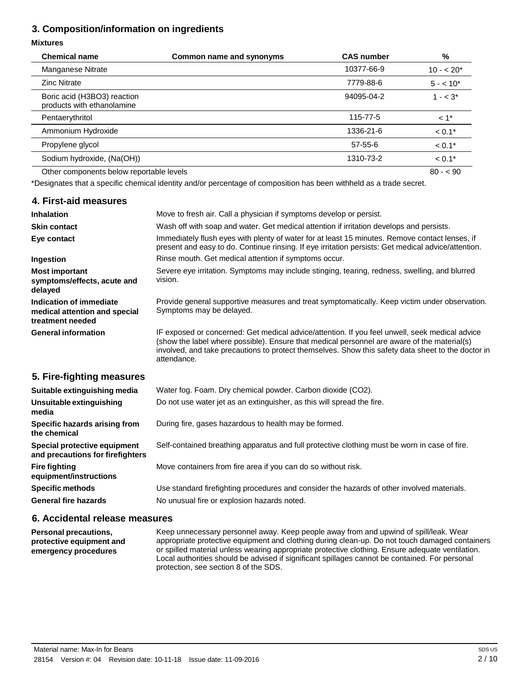# **3. Composition/information on ingredients**

#### **Mixtures**

| <b>Chemical name</b>                                      | Common name and synonyms | <b>CAS number</b> | %                 |
|-----------------------------------------------------------|--------------------------|-------------------|-------------------|
| Manganese Nitrate                                         |                          | 10377-66-9        | $10 - 20*$        |
| <b>Zinc Nitrate</b>                                       |                          | 7779-88-6         | $5 - 10^*$        |
| Boric acid (H3BO3) reaction<br>products with ethanolamine |                          | 94095-04-2        | $1 - < 3^*$       |
| Pentaerythritol                                           |                          | 115-77-5          | $<1$ <sup>*</sup> |
| Ammonium Hydroxide                                        |                          | 1336-21-6         | $< 0.1*$          |
| Propylene glycol                                          |                          | 57-55-6           | $< 0.1*$          |
| Sodium hydroxide, (Na(OH))                                |                          | 1310-73-2         | $< 0.1*$          |
| Other components below reportable levels                  |                          |                   | $80 - 90$         |

\*Designates that a specific chemical identity and/or percentage of composition has been withheld as a trade secret.

| 4. First-aid measures                                                        |                                                                                                                                                                                                                                                                                                                    |
|------------------------------------------------------------------------------|--------------------------------------------------------------------------------------------------------------------------------------------------------------------------------------------------------------------------------------------------------------------------------------------------------------------|
| <b>Inhalation</b>                                                            | Move to fresh air. Call a physician if symptoms develop or persist.                                                                                                                                                                                                                                                |
| <b>Skin contact</b>                                                          | Wash off with soap and water. Get medical attention if irritation develops and persists.                                                                                                                                                                                                                           |
| Eye contact                                                                  | Immediately flush eyes with plenty of water for at least 15 minutes. Remove contact lenses, if<br>present and easy to do. Continue rinsing. If eye irritation persists: Get medical advice/attention.                                                                                                              |
| Ingestion                                                                    | Rinse mouth. Get medical attention if symptoms occur.                                                                                                                                                                                                                                                              |
| <b>Most important</b><br>symptoms/effects, acute and<br>delayed              | Severe eye irritation. Symptoms may include stinging, tearing, redness, swelling, and blurred<br>vision.                                                                                                                                                                                                           |
| Indication of immediate<br>medical attention and special<br>treatment needed | Provide general supportive measures and treat symptomatically. Keep victim under observation.<br>Symptoms may be delayed.                                                                                                                                                                                          |
| <b>General information</b>                                                   | IF exposed or concerned: Get medical advice/attention. If you feel unwell, seek medical advice<br>(show the label where possible). Ensure that medical personnel are aware of the material(s)<br>involved, and take precautions to protect themselves. Show this safety data sheet to the doctor in<br>attendance. |
| 5. Fire-fighting measures                                                    |                                                                                                                                                                                                                                                                                                                    |
| Suitable extinguishing media                                                 | Water fog. Foam. Dry chemical powder. Carbon dioxide (CO2).                                                                                                                                                                                                                                                        |
| Unsuitable extinguishing<br>media                                            | Do not use water jet as an extinguisher, as this will spread the fire.                                                                                                                                                                                                                                             |
| Specific hazards arising from<br>the chemical                                | During fire, gases hazardous to health may be formed.                                                                                                                                                                                                                                                              |
| Special protective equipment<br>and precautions for firefighters             | Self-contained breathing apparatus and full protective clothing must be worn in case of fire.                                                                                                                                                                                                                      |
| <b>Fire fighting</b><br>equipment/instructions                               | Move containers from fire area if you can do so without risk.                                                                                                                                                                                                                                                      |
| <b>Specific methods</b>                                                      | Use standard firefighting procedures and consider the hazards of other involved materials.                                                                                                                                                                                                                         |
| <b>General fire hazards</b>                                                  | No unusual fire or explosion hazards noted.                                                                                                                                                                                                                                                                        |
|                                                                              |                                                                                                                                                                                                                                                                                                                    |

### **6. Accidental release measures**

**Personal precautions, protective equipment and emergency procedures** Keep unnecessary personnel away. Keep people away from and upwind of spill/leak. Wear appropriate protective equipment and clothing during clean-up. Do not touch damaged containers or spilled material unless wearing appropriate protective clothing. Ensure adequate ventilation. Local authorities should be advised if significant spillages cannot be contained. For personal protection, see section 8 of the SDS.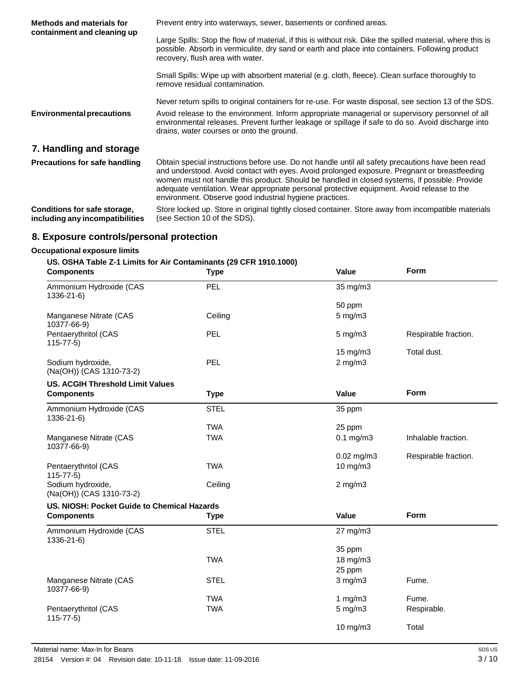| Methods and materials for<br>containment and cleaning up        | Prevent entry into waterways, sewer, basements or confined areas.                                                                                                                                                                                                                                                                                                                                                                                           |  |
|-----------------------------------------------------------------|-------------------------------------------------------------------------------------------------------------------------------------------------------------------------------------------------------------------------------------------------------------------------------------------------------------------------------------------------------------------------------------------------------------------------------------------------------------|--|
|                                                                 | Large Spills: Stop the flow of material, if this is without risk. Dike the spilled material, where this is<br>possible. Absorb in vermiculite, dry sand or earth and place into containers. Following product<br>recovery, flush area with water.                                                                                                                                                                                                           |  |
|                                                                 | Small Spills: Wipe up with absorbent material (e.g. cloth, fleece). Clean surface thoroughly to<br>remove residual contamination.                                                                                                                                                                                                                                                                                                                           |  |
|                                                                 | Never return spills to original containers for re-use. For waste disposal, see section 13 of the SDS.                                                                                                                                                                                                                                                                                                                                                       |  |
| <b>Environmental precautions</b>                                | Avoid release to the environment. Inform appropriate managerial or supervisory personnel of all<br>environmental releases. Prevent further leakage or spillage if safe to do so. Avoid discharge into<br>drains, water courses or onto the ground.                                                                                                                                                                                                          |  |
| 7. Handling and storage                                         |                                                                                                                                                                                                                                                                                                                                                                                                                                                             |  |
| <b>Precautions for safe handling</b>                            | Obtain special instructions before use. Do not handle until all safety precautions have been read<br>and understood. Avoid contact with eyes. Avoid prolonged exposure. Pregnant or breastfeeding<br>women must not handle this product. Should be handled in closed systems, if possible. Provide<br>adequate ventilation. Wear appropriate personal protective equipment. Avoid release to the<br>environment. Observe good industrial hygiene practices. |  |
| Conditions for safe storage,<br>including any incompatibilities | Store locked up. Store in original tightly closed container. Store away from incompatible materials<br>(see Section 10 of the SDS).                                                                                                                                                                                                                                                                                                                         |  |

# **8. Exposure controls/personal protection**

## **Occupational exposure limits**

## **US. OSHA Table Z-1 Limits for Air Contaminants (29 CFR 1910.1000)**

| <b>Components</b>                             | <b>Type</b> | Value            | <b>Form</b>          |
|-----------------------------------------------|-------------|------------------|----------------------|
| Ammonium Hydroxide (CAS<br>1336-21-6)         | PEL         | 35 mg/m3         |                      |
|                                               |             | 50 ppm           |                      |
| Manganese Nitrate (CAS<br>10377-66-9)         | Ceiling     | $5$ mg/m $3$     |                      |
| Pentaerythritol (CAS<br>$115 - 77 - 5$        | <b>PEL</b>  | $5 \text{ mg/m}$ | Respirable fraction. |
|                                               |             | 15 mg/m3         | Total dust.          |
| Sodium hydroxide,<br>(Na(OH)) (CAS 1310-73-2) | PEL         | $2$ mg/m $3$     |                      |
| <b>US. ACGIH Threshold Limit Values</b>       |             |                  |                      |
| <b>Components</b>                             | <b>Type</b> | Value            | Form                 |
| Ammonium Hydroxide (CAS<br>1336-21-6)         | <b>STEL</b> | 35 ppm           |                      |
|                                               | <b>TWA</b>  | 25 ppm           |                      |
| Manganese Nitrate (CAS<br>10377-66-9)         | <b>TWA</b>  | $0.1$ mg/m $3$   | Inhalable fraction.  |
|                                               |             | $0.02$ mg/m3     | Respirable fraction. |
| Pentaerythritol (CAS<br>$115 - 77 - 5$        | <b>TWA</b>  | 10 mg/m3         |                      |
| Sodium hydroxide,<br>(Na(OH)) (CAS 1310-73-2) | Ceiling     | $2$ mg/m $3$     |                      |
| US. NIOSH: Pocket Guide to Chemical Hazards   |             |                  |                      |
| <b>Components</b>                             | <b>Type</b> | Value            | <b>Form</b>          |
| Ammonium Hydroxide (CAS<br>1336-21-6)         | <b>STEL</b> | 27 mg/m3         |                      |
|                                               |             | 35 ppm           |                      |
|                                               | <b>TWA</b>  | 18 mg/m3         |                      |
|                                               |             | 25 ppm           |                      |
| Manganese Nitrate (CAS<br>10377-66-9)         | <b>STEL</b> | $3$ mg/m $3$     | Fume.                |
|                                               | <b>TWA</b>  | 1 $mg/m3$        | Fume.                |
| Pentaerythritol (CAS<br>$115 - 77 - 5$        | <b>TWA</b>  | $5$ mg/m $3$     | Respirable.          |
|                                               |             | 10 mg/m3         | Total                |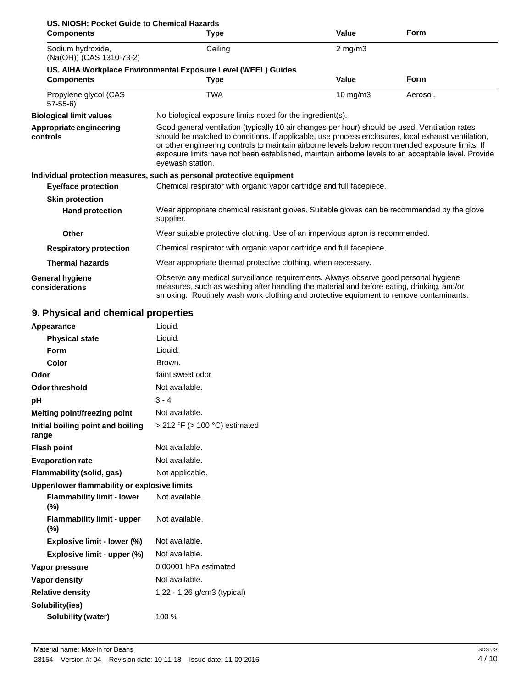| US. NIOSH: Pocket Guide to Chemical Hazards   |                                                                                                                                                                                                                                                                                                                                                                                                                                    |                   |             |
|-----------------------------------------------|------------------------------------------------------------------------------------------------------------------------------------------------------------------------------------------------------------------------------------------------------------------------------------------------------------------------------------------------------------------------------------------------------------------------------------|-------------------|-------------|
| <b>Components</b>                             | Type                                                                                                                                                                                                                                                                                                                                                                                                                               | Value             | <b>Form</b> |
| Sodium hydroxide,<br>(Na(OH)) (CAS 1310-73-2) | Ceiling                                                                                                                                                                                                                                                                                                                                                                                                                            | $2$ mg/m $3$      |             |
|                                               | US. AIHA Workplace Environmental Exposure Level (WEEL) Guides                                                                                                                                                                                                                                                                                                                                                                      |                   |             |
| <b>Components</b>                             | <b>Type</b>                                                                                                                                                                                                                                                                                                                                                                                                                        | Value             | <b>Form</b> |
| Propylene glycol (CAS<br>$57-55-6$            | <b>TWA</b>                                                                                                                                                                                                                                                                                                                                                                                                                         | $10 \text{ mg/m}$ | Aerosol.    |
| <b>Biological limit values</b>                | No biological exposure limits noted for the ingredient(s).                                                                                                                                                                                                                                                                                                                                                                         |                   |             |
| Appropriate engineering<br>controls           | Good general ventilation (typically 10 air changes per hour) should be used. Ventilation rates<br>should be matched to conditions. If applicable, use process enclosures, local exhaust ventilation,<br>or other engineering controls to maintain airborne levels below recommended exposure limits. If<br>exposure limits have not been established, maintain airborne levels to an acceptable level. Provide<br>eyewash station. |                   |             |
|                                               | Individual protection measures, such as personal protective equipment                                                                                                                                                                                                                                                                                                                                                              |                   |             |
| Eye/face protection                           | Chemical respirator with organic vapor cartridge and full facepiece.                                                                                                                                                                                                                                                                                                                                                               |                   |             |
| <b>Skin protection</b>                        |                                                                                                                                                                                                                                                                                                                                                                                                                                    |                   |             |
| <b>Hand protection</b>                        | Wear appropriate chemical resistant gloves. Suitable gloves can be recommended by the glove<br>supplier.                                                                                                                                                                                                                                                                                                                           |                   |             |
| Other                                         | Wear suitable protective clothing. Use of an impervious apron is recommended.                                                                                                                                                                                                                                                                                                                                                      |                   |             |
| <b>Respiratory protection</b>                 | Chemical respirator with organic vapor cartridge and full facepiece.                                                                                                                                                                                                                                                                                                                                                               |                   |             |
| <b>Thermal hazards</b>                        | Wear appropriate thermal protective clothing, when necessary.                                                                                                                                                                                                                                                                                                                                                                      |                   |             |
| General hygiene<br>considerations             | Observe any medical surveillance requirements. Always observe good personal hygiene<br>measures, such as washing after handling the material and before eating, drinking, and/or<br>smoking. Routinely wash work clothing and protective equipment to remove contaminants.                                                                                                                                                         |                   |             |

# **9. Physical and chemical properties**

| Appearance                                   | Liquid.                       |
|----------------------------------------------|-------------------------------|
| <b>Physical state</b>                        | Liquid.                       |
| Form                                         | Liquid.                       |
| Color                                        | Brown.                        |
| Odor                                         | faint sweet odor              |
| Odor threshold                               | Not available.                |
| рH                                           | $3 - 4$                       |
| Melting point/freezing point                 | Not available.                |
| Initial boiling point and boiling<br>range   | > 212 °F (> 100 °C) estimated |
| <b>Flash point</b>                           | Not available.                |
| <b>Evaporation rate</b>                      | Not available.                |
| Flammability (solid, gas)                    | Not applicable.               |
| Upper/lower flammability or explosive limits |                               |
| <b>Flammability limit - lower</b><br>(%)     | Not available.                |
| <b>Flammability limit - upper</b><br>$(\% )$ | Not available.                |
| Explosive limit - lower (%)                  | Not available.                |
| Explosive limit - upper (%)                  | Not available.                |
| Vapor pressure                               | 0.00001 hPa estimated         |
| Vapor density                                | Not available.                |
| <b>Relative density</b>                      | 1.22 - 1.26 g/cm3 (typical)   |
| Solubility(ies)                              |                               |
| Solubility (water)                           | 100 %                         |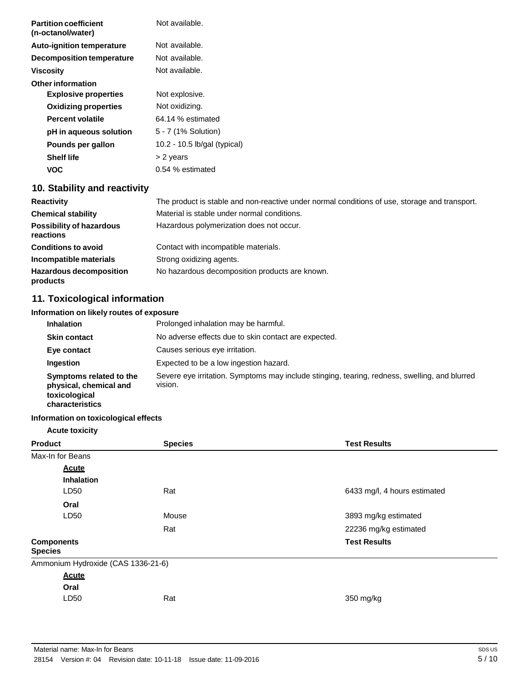| <b>Partition coefficient</b><br>(n-octanol/water) | Not available.                                                                                |
|---------------------------------------------------|-----------------------------------------------------------------------------------------------|
| <b>Auto-ignition temperature</b>                  | Not available.                                                                                |
| <b>Decomposition temperature</b>                  | Not available.                                                                                |
| <b>Viscosity</b>                                  | Not available.                                                                                |
| <b>Other information</b>                          |                                                                                               |
| <b>Explosive properties</b>                       | Not explosive.                                                                                |
| <b>Oxidizing properties</b>                       | Not oxidizing.                                                                                |
| <b>Percent volatile</b>                           | 64.14 % estimated                                                                             |
| pH in aqueous solution                            | 5 - 7 (1% Solution)                                                                           |
| Pounds per gallon                                 | 10.2 - 10.5 lb/gal (typical)                                                                  |
| <b>Shelf life</b>                                 | > 2 years                                                                                     |
| <b>VOC</b>                                        | 0.54 % estimated                                                                              |
| 10. Stability and reactivity                      |                                                                                               |
| <b>Reactivity</b>                                 | The product is stable and non-reactive under normal conditions of use, storage and transport. |

| The product is stable and non-reactive under nomial conditions or use, storage and transport. |
|-----------------------------------------------------------------------------------------------|
| Material is stable under normal conditions.                                                   |
| Hazardous polymerization does not occur.                                                      |
| Contact with incompatible materials.                                                          |
| Strong oxidizing agents.                                                                      |
| No hazardous decomposition products are known.                                                |
|                                                                                               |

# **11. Toxicological information**

## **Information on likely routes of exposure**

| <b>Inhalation</b>                                                                     | Prolonged inhalation may be harmful.                                                                     |
|---------------------------------------------------------------------------------------|----------------------------------------------------------------------------------------------------------|
| <b>Skin contact</b>                                                                   | No adverse effects due to skin contact are expected.                                                     |
| Eye contact                                                                           | Causes serious eye irritation.                                                                           |
| Ingestion                                                                             | Expected to be a low ingestion hazard.                                                                   |
| Symptoms related to the<br>physical, chemical and<br>toxicological<br>characteristics | Severe eye irritation. Symptoms may include stinging, tearing, redness, swelling, and blurred<br>vision. |

## **Information on toxicological effects**

## **Acute toxicity**

| <b>Product</b><br><b>Species</b>    |       | <b>Test Results</b>          |
|-------------------------------------|-------|------------------------------|
| Max-In for Beans                    |       |                              |
| <b>Acute</b>                        |       |                              |
| <b>Inhalation</b>                   |       |                              |
| LD50                                | Rat   | 6433 mg/l, 4 hours estimated |
| Oral                                |       |                              |
| LD50                                | Mouse | 3893 mg/kg estimated         |
|                                     | Rat   | 22236 mg/kg estimated        |
| <b>Components</b><br><b>Species</b> |       | <b>Test Results</b>          |
| Ammonium Hydroxide (CAS 1336-21-6)  |       |                              |
| <b>Acute</b>                        |       |                              |
| Oral                                |       |                              |
| LD50                                | Rat   | 350 mg/kg                    |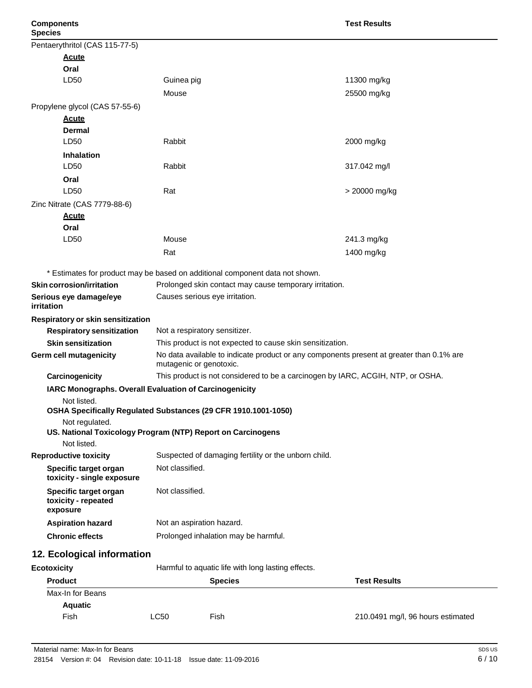| Pentaerythritol (CAS 115-77-5)                           |                                                                                                                     |                                                                                 |
|----------------------------------------------------------|---------------------------------------------------------------------------------------------------------------------|---------------------------------------------------------------------------------|
| <b>Acute</b>                                             |                                                                                                                     |                                                                                 |
| Oral                                                     |                                                                                                                     |                                                                                 |
| LD50                                                     | Guinea pig                                                                                                          | 11300 mg/kg                                                                     |
|                                                          | Mouse                                                                                                               | 25500 mg/kg                                                                     |
|                                                          |                                                                                                                     |                                                                                 |
| Propylene glycol (CAS 57-55-6)                           |                                                                                                                     |                                                                                 |
| <u>Acute</u><br><b>Dermal</b>                            |                                                                                                                     |                                                                                 |
| LD50                                                     | Rabbit                                                                                                              | 2000 mg/kg                                                                      |
| <b>Inhalation</b>                                        |                                                                                                                     |                                                                                 |
| LD50                                                     | Rabbit                                                                                                              | 317.042 mg/l                                                                    |
| Oral                                                     |                                                                                                                     |                                                                                 |
| LD50                                                     | Rat                                                                                                                 | > 20000 mg/kg                                                                   |
| Zinc Nitrate (CAS 7779-88-6)                             |                                                                                                                     |                                                                                 |
| <b>Acute</b>                                             |                                                                                                                     |                                                                                 |
| Oral                                                     |                                                                                                                     |                                                                                 |
| LD50                                                     | Mouse                                                                                                               | 241.3 mg/kg                                                                     |
|                                                          | Rat                                                                                                                 | 1400 mg/kg                                                                      |
|                                                          | * Estimates for product may be based on additional component data not shown.                                        |                                                                                 |
| <b>Skin corrosion/irritation</b>                         | Prolonged skin contact may cause temporary irritation.                                                              |                                                                                 |
| Serious eye damage/eye<br><i>irritation</i>              | Causes serious eye irritation.                                                                                      |                                                                                 |
| Respiratory or skin sensitization                        |                                                                                                                     |                                                                                 |
| <b>Respiratory sensitization</b>                         | Not a respiratory sensitizer.                                                                                       |                                                                                 |
| <b>Skin sensitization</b>                                | This product is not expected to cause skin sensitization.                                                           |                                                                                 |
| Germ cell mutagenicity                                   | No data available to indicate product or any components present at greater than 0.1% are<br>mutagenic or genotoxic. |                                                                                 |
| Carcinogenicity                                          |                                                                                                                     | This product is not considered to be a carcinogen by IARC, ACGIH, NTP, or OSHA. |
|                                                          | IARC Monographs. Overall Evaluation of Carcinogenicity                                                              |                                                                                 |
| Not listed.                                              |                                                                                                                     |                                                                                 |
|                                                          | OSHA Specifically Regulated Substances (29 CFR 1910.1001-1050)                                                      |                                                                                 |
| Not regulated.                                           | US. National Toxicology Program (NTP) Report on Carcinogens                                                         |                                                                                 |
| Not listed.                                              |                                                                                                                     |                                                                                 |
| <b>Reproductive toxicity</b>                             | Suspected of damaging fertility or the unborn child.                                                                |                                                                                 |
| Specific target organ<br>toxicity - single exposure      | Not classified.                                                                                                     |                                                                                 |
| Specific target organ<br>toxicity - repeated<br>exposure | Not classified.                                                                                                     |                                                                                 |
| <b>Aspiration hazard</b>                                 | Not an aspiration hazard.                                                                                           |                                                                                 |
| <b>Chronic effects</b>                                   | Prolonged inhalation may be harmful.                                                                                |                                                                                 |
| 12. Ecological information                               |                                                                                                                     |                                                                                 |
| <b>Ecotoxicity</b>                                       | Harmful to aquatic life with long lasting effects.                                                                  |                                                                                 |
| <b>Product</b>                                           | <b>Species</b>                                                                                                      | <b>Test Results</b>                                                             |
| Max-In for Beans                                         |                                                                                                                     |                                                                                 |
| <b>Aquatic</b>                                           |                                                                                                                     |                                                                                 |

| Fish | ∟C50 | Fish | 210.0491 mg/l, 96 hours estimated |
|------|------|------|-----------------------------------|
|      |      |      |                                   |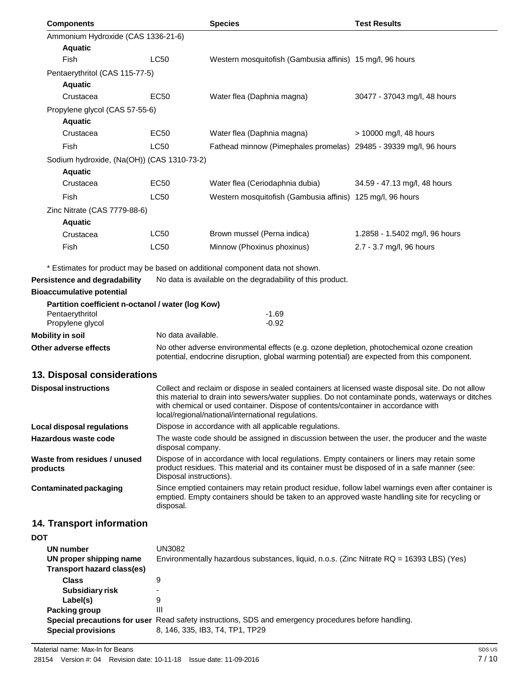| <b>Components</b>                                     |                                                                                                                                                                                            | <b>Species</b>                                                                                                                                                                                                                               | <b>Test Results</b>            |  |
|-------------------------------------------------------|--------------------------------------------------------------------------------------------------------------------------------------------------------------------------------------------|----------------------------------------------------------------------------------------------------------------------------------------------------------------------------------------------------------------------------------------------|--------------------------------|--|
| Ammonium Hydroxide (CAS 1336-21-6)                    |                                                                                                                                                                                            |                                                                                                                                                                                                                                              |                                |  |
| <b>Aquatic</b>                                        |                                                                                                                                                                                            |                                                                                                                                                                                                                                              |                                |  |
| Fish                                                  | <b>LC50</b>                                                                                                                                                                                | Western mosquitofish (Gambusia affinis) 15 mg/l, 96 hours                                                                                                                                                                                    |                                |  |
|                                                       | Pentaerythritol (CAS 115-77-5)                                                                                                                                                             |                                                                                                                                                                                                                                              |                                |  |
| <b>Aquatic</b>                                        |                                                                                                                                                                                            |                                                                                                                                                                                                                                              |                                |  |
| Crustacea                                             | EC <sub>50</sub>                                                                                                                                                                           | Water flea (Daphnia magna)                                                                                                                                                                                                                   | 30477 - 37043 mg/l, 48 hours   |  |
| Propylene glycol (CAS 57-55-6)<br><b>Aquatic</b>      |                                                                                                                                                                                            |                                                                                                                                                                                                                                              |                                |  |
| Crustacea                                             | EC <sub>50</sub>                                                                                                                                                                           | Water flea (Daphnia magna)                                                                                                                                                                                                                   | > 10000 mg/l, 48 hours         |  |
| <b>Fish</b>                                           | <b>LC50</b>                                                                                                                                                                                | Fathead minnow (Pimephales promelas) 29485 - 39339 mg/l, 96 hours                                                                                                                                                                            |                                |  |
| Sodium hydroxide, (Na(OH)) (CAS 1310-73-2)            |                                                                                                                                                                                            |                                                                                                                                                                                                                                              |                                |  |
| <b>Aquatic</b>                                        |                                                                                                                                                                                            |                                                                                                                                                                                                                                              |                                |  |
| Crustacea                                             | EC <sub>50</sub>                                                                                                                                                                           | Water flea (Ceriodaphnia dubia)                                                                                                                                                                                                              | 34.59 - 47.13 mg/l, 48 hours   |  |
| Fish                                                  | <b>LC50</b>                                                                                                                                                                                | Western mosquitofish (Gambusia affinis) 125 mg/l, 96 hours                                                                                                                                                                                   |                                |  |
| Zinc Nitrate (CAS 7779-88-6)                          |                                                                                                                                                                                            |                                                                                                                                                                                                                                              |                                |  |
| <b>Aquatic</b>                                        |                                                                                                                                                                                            |                                                                                                                                                                                                                                              |                                |  |
| Crustacea                                             | LC50                                                                                                                                                                                       | Brown mussel (Perna indica)                                                                                                                                                                                                                  | 1.2858 - 1.5402 mg/l, 96 hours |  |
| Fish                                                  | <b>LC50</b>                                                                                                                                                                                | Minnow (Phoxinus phoxinus)                                                                                                                                                                                                                   | 2.7 - 3.7 mg/l, 96 hours       |  |
|                                                       |                                                                                                                                                                                            |                                                                                                                                                                                                                                              |                                |  |
|                                                       |                                                                                                                                                                                            | * Estimates for product may be based on additional component data not shown.                                                                                                                                                                 |                                |  |
| Persistence and degradability                         |                                                                                                                                                                                            | No data is available on the degradability of this product.                                                                                                                                                                                   |                                |  |
| <b>Bioaccumulative potential</b>                      |                                                                                                                                                                                            |                                                                                                                                                                                                                                              |                                |  |
| Partition coefficient n-octanol / water (log Kow)     |                                                                                                                                                                                            |                                                                                                                                                                                                                                              |                                |  |
| Pentaerythritol<br>Propylene glycol                   |                                                                                                                                                                                            | $-1.69$<br>$-0.92$                                                                                                                                                                                                                           |                                |  |
| <b>Mobility in soil</b>                               | No data available.                                                                                                                                                                         |                                                                                                                                                                                                                                              |                                |  |
| Other adverse effects                                 | No other adverse environmental effects (e.g. ozone depletion, photochemical ozone creation<br>potential, endocrine disruption, global warming potential) are expected from this component. |                                                                                                                                                                                                                                              |                                |  |
| 13. Disposal considerations                           |                                                                                                                                                                                            |                                                                                                                                                                                                                                              |                                |  |
| <b>Disposal instructions</b>                          |                                                                                                                                                                                            | Collect and reclaim or dispose in sealed containers at licensed waste disposal site. Do not allow                                                                                                                                            |                                |  |
|                                                       |                                                                                                                                                                                            | this material to drain into sewers/water supplies. Do not contaminate ponds, waterways or ditches<br>with chemical or used container. Dispose of contents/container in accordance with<br>local/regional/national/international regulations. |                                |  |
| <b>Local disposal regulations</b>                     | Dispose in accordance with all applicable regulations.                                                                                                                                     |                                                                                                                                                                                                                                              |                                |  |
| Hazardous waste code                                  | The waste code should be assigned in discussion between the user, the producer and the waste<br>disposal company.                                                                          |                                                                                                                                                                                                                                              |                                |  |
| Waste from residues / unused<br>products              | Disposal instructions).                                                                                                                                                                    | Dispose of in accordance with local regulations. Empty containers or liners may retain some<br>product residues. This material and its container must be disposed of in a safe manner (see:                                                  |                                |  |
| <b>Contaminated packaging</b>                         | disposal.                                                                                                                                                                                  | Since emptied containers may retain product residue, follow label warnings even after container is<br>emptied. Empty containers should be taken to an approved waste handling site for recycling or                                          |                                |  |
| 14. Transport information                             |                                                                                                                                                                                            |                                                                                                                                                                                                                                              |                                |  |
| <b>DOT</b>                                            |                                                                                                                                                                                            |                                                                                                                                                                                                                                              |                                |  |
| UN number                                             | <b>UN3082</b>                                                                                                                                                                              |                                                                                                                                                                                                                                              |                                |  |
| UN proper shipping name<br>Transport hazard class(es) |                                                                                                                                                                                            | Environmentally hazardous substances, liquid, n.o.s. (Zinc Nitrate RQ = 16393 LBS) (Yes)                                                                                                                                                     |                                |  |
| <b>Class</b>                                          | 9                                                                                                                                                                                          |                                                                                                                                                                                                                                              |                                |  |
| <b>Subsidiary risk</b>                                |                                                                                                                                                                                            |                                                                                                                                                                                                                                              |                                |  |
| Label(s)                                              | 9                                                                                                                                                                                          |                                                                                                                                                                                                                                              |                                |  |

| Packing group             |                                                                                                      |
|---------------------------|------------------------------------------------------------------------------------------------------|
|                           | Special precautions for user Read safety instructions, SDS and emergency procedures before handling. |
| <b>Special provisions</b> | 8. 146. 335. IB3. T4. TP1. TP29                                                                      |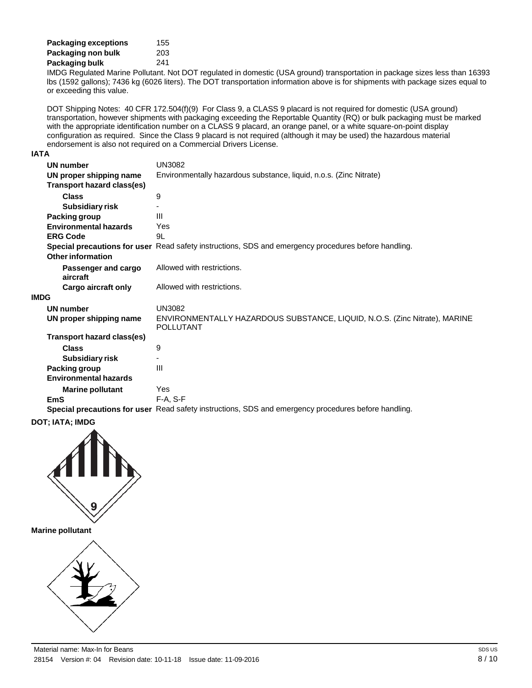| <b>Packaging exceptions</b> | 155 |
|-----------------------------|-----|
| Packaging non bulk          | 203 |
| Packaging bulk              | 241 |

IMDG Regulated Marine Pollutant. Not DOT regulated in domestic (USA ground) transportation in package sizes less than 16393 lbs (1592 gallons); 7436 kg (6026 liters). The DOT transportation information above is for shipments with package sizes equal to or exceeding this value.

DOT Shipping Notes: 40 CFR 172.504(f)(9) For Class 9, a CLASS 9 placard is not required for domestic (USA ground) transportation, however shipments with packaging exceeding the Reportable Quantity (RQ) or bulk packaging must be marked with the appropriate identification number on a CLASS 9 placard, an orange panel, or a white square-on-point display configuration as required. Since the Class 9 placard is not required (although it may be used) the hazardous material endorsement is also not required on a Commercial Drivers License.

#### **IATA**

**IMDG**

|     | UN number                         | <b>UN3082</b>                                                                                        |
|-----|-----------------------------------|------------------------------------------------------------------------------------------------------|
|     | UN proper shipping name           | Environmentally hazardous substance, liquid, n.o.s. (Zinc Nitrate)                                   |
|     | Transport hazard class(es)        |                                                                                                      |
|     | <b>Class</b>                      | 9                                                                                                    |
|     | Subsidiary risk                   |                                                                                                      |
|     | Packing group                     | Ш                                                                                                    |
|     | <b>Environmental hazards</b>      | Yes                                                                                                  |
|     | <b>ERG Code</b>                   | 9L                                                                                                   |
|     |                                   | Special precautions for user Read safety instructions, SDS and emergency procedures before handling. |
|     | Other information                 |                                                                                                      |
|     | Passenger and cargo               | Allowed with restrictions.                                                                           |
|     | aircraft                          |                                                                                                      |
|     | Cargo aircraft only               | Allowed with restrictions.                                                                           |
| 1DG |                                   |                                                                                                      |
|     | <b>UN number</b>                  | UN3082                                                                                               |
|     | UN proper shipping name           | ENVIRONMENTALLY HAZARDOUS SUBSTANCE, LIQUID, N.O.S. (Zinc Nitrate), MARINE<br><b>POLLUTANT</b>       |
|     | <b>Transport hazard class(es)</b> |                                                                                                      |
|     | <b>Class</b>                      | 9                                                                                                    |
|     | Subsidiary risk                   |                                                                                                      |
|     | Packing group                     | Ш                                                                                                    |
|     | <b>Environmental hazards</b>      |                                                                                                      |
|     | <b>Marine pollutant</b>           | Yes                                                                                                  |
|     | <b>EmS</b>                        | $F-A. S-F$                                                                                           |
|     |                                   | Special precautions for user Read safety instructions, SDS and emergency procedures before handling. |
|     |                                   |                                                                                                      |

**DOT; IATA; IMDG**



**Marine pollutant**

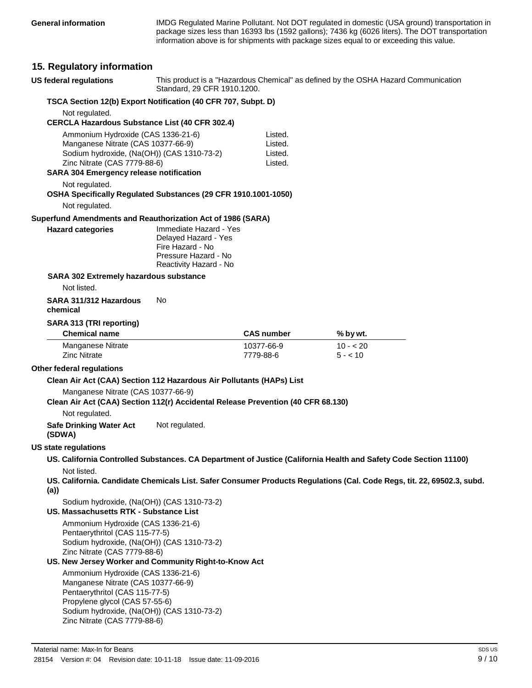IMDG Regulated Marine Pollutant. Not DOT regulated in domestic (USA ground) transportation in package sizes less than 16393 lbs (1592 gallons); 7436 kg (6026 liters). The DOT transportation information above is for shipments with package sizes equal to or exceeding this value.

# **15. Regulatory information**

| <b>US federal regulations</b>                                                                                                                                                                                              | Standard, 29 CFR 1910.1200.                                                                                          |                                          | This product is a "Hazardous Chemical" as defined by the OSHA Hazard Communication                                     |  |
|----------------------------------------------------------------------------------------------------------------------------------------------------------------------------------------------------------------------------|----------------------------------------------------------------------------------------------------------------------|------------------------------------------|------------------------------------------------------------------------------------------------------------------------|--|
| TSCA Section 12(b) Export Notification (40 CFR 707, Subpt. D)                                                                                                                                                              |                                                                                                                      |                                          |                                                                                                                        |  |
| Not regulated.                                                                                                                                                                                                             |                                                                                                                      |                                          |                                                                                                                        |  |
| <b>CERCLA Hazardous Substance List (40 CFR 302.4)</b>                                                                                                                                                                      |                                                                                                                      |                                          |                                                                                                                        |  |
| Ammonium Hydroxide (CAS 1336-21-6)<br>Manganese Nitrate (CAS 10377-66-9)<br>Sodium hydroxide, (Na(OH)) (CAS 1310-73-2)<br>Zinc Nitrate (CAS 7779-88-6)                                                                     |                                                                                                                      | Listed.<br>Listed.<br>Listed.<br>Listed. |                                                                                                                        |  |
| <b>SARA 304 Emergency release notification</b>                                                                                                                                                                             |                                                                                                                      |                                          |                                                                                                                        |  |
| Not regulated.<br>OSHA Specifically Regulated Substances (29 CFR 1910.1001-1050)                                                                                                                                           |                                                                                                                      |                                          |                                                                                                                        |  |
| Not regulated.                                                                                                                                                                                                             |                                                                                                                      |                                          |                                                                                                                        |  |
| Superfund Amendments and Reauthorization Act of 1986 (SARA)                                                                                                                                                                |                                                                                                                      |                                          |                                                                                                                        |  |
| <b>Hazard categories</b>                                                                                                                                                                                                   | Immediate Hazard - Yes<br>Delayed Hazard - Yes<br>Fire Hazard - No<br>Pressure Hazard - No<br>Reactivity Hazard - No |                                          |                                                                                                                        |  |
| SARA 302 Extremely hazardous substance                                                                                                                                                                                     |                                                                                                                      |                                          |                                                                                                                        |  |
| Not listed.                                                                                                                                                                                                                |                                                                                                                      |                                          |                                                                                                                        |  |
| SARA 311/312 Hazardous<br>chemical                                                                                                                                                                                         | No.                                                                                                                  |                                          |                                                                                                                        |  |
| SARA 313 (TRI reporting)                                                                                                                                                                                                   |                                                                                                                      |                                          |                                                                                                                        |  |
| <b>Chemical name</b>                                                                                                                                                                                                       |                                                                                                                      | <b>CAS number</b>                        | % by wt.                                                                                                               |  |
| Manganese Nitrate<br><b>Zinc Nitrate</b>                                                                                                                                                                                   |                                                                                                                      | 10377-66-9<br>7779-88-6                  | $10 - 20$<br>$5 - 10$                                                                                                  |  |
| Other federal regulations                                                                                                                                                                                                  |                                                                                                                      |                                          |                                                                                                                        |  |
| Clean Air Act (CAA) Section 112 Hazardous Air Pollutants (HAPs) List                                                                                                                                                       |                                                                                                                      |                                          |                                                                                                                        |  |
| Manganese Nitrate (CAS 10377-66-9)<br>Clean Air Act (CAA) Section 112(r) Accidental Release Prevention (40 CFR 68.130)                                                                                                     |                                                                                                                      |                                          |                                                                                                                        |  |
| Not regulated.                                                                                                                                                                                                             |                                                                                                                      |                                          |                                                                                                                        |  |
| <b>Safe Drinking Water Act</b><br>(SDWA)                                                                                                                                                                                   | Not regulated.                                                                                                       |                                          |                                                                                                                        |  |
| <b>US state regulations</b>                                                                                                                                                                                                |                                                                                                                      |                                          |                                                                                                                        |  |
|                                                                                                                                                                                                                            |                                                                                                                      |                                          | US. California Controlled Substances. CA Department of Justice (California Health and Safety Code Section 11100)       |  |
| Not listed.<br>(a)                                                                                                                                                                                                         |                                                                                                                      |                                          | US. California. Candidate Chemicals List. Safer Consumer Products Regulations (Cal. Code Regs, tit. 22, 69502.3, subd. |  |
| Sodium hydroxide, (Na(OH)) (CAS 1310-73-2)<br><b>US. Massachusetts RTK - Substance List</b>                                                                                                                                |                                                                                                                      |                                          |                                                                                                                        |  |
| Ammonium Hydroxide (CAS 1336-21-6)<br>Pentaerythritol (CAS 115-77-5)<br>Sodium hydroxide, (Na(OH)) (CAS 1310-73-2)<br>Zinc Nitrate (CAS 7779-88-6)                                                                         |                                                                                                                      |                                          |                                                                                                                        |  |
| US. New Jersey Worker and Community Right-to-Know Act                                                                                                                                                                      |                                                                                                                      |                                          |                                                                                                                        |  |
| Ammonium Hydroxide (CAS 1336-21-6)<br>Manganese Nitrate (CAS 10377-66-9)<br>Pentaerythritol (CAS 115-77-5)<br>Propylene glycol (CAS 57-55-6)<br>Sodium hydroxide, (Na(OH)) (CAS 1310-73-2)<br>Zinc Nitrate (CAS 7779-88-6) |                                                                                                                      |                                          |                                                                                                                        |  |